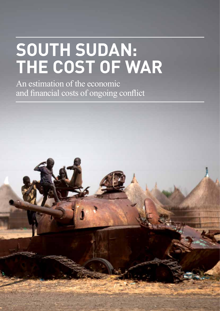# **South Sudan: The Cost of War**

An estimation of the economic and financial costs of ongoing conflict

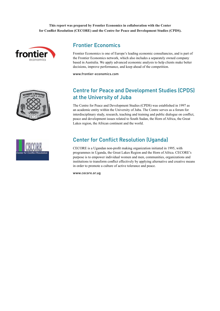**This report was prepared by Frontier Economics in collaboration with the Center for Conflict Resolution (CECORE) and the Centre for Peace and Development Studies (CPDS).**



### Frontier Economics

Frontier Economics is one of Europe's leading economic consultancies, and is part of the Frontier Economics network, which also includes a separately owned company based in Australia. We apply advanced economic analysis to help clients make better decisions, improve performance, and keep ahead of the competition.

www.frontier-economics.com



### Centre for Peace and Development Studies (CPDS) at the University of Juba

The Centre for Peace and Development Studies (CPDS) was established in 1997 as an academic entity within the University of Juba. The Centre serves as a forum for interdisciplinary study, research, teaching and training and public dialogue on conflict, peace and development issues related to South Sudan, the Horn of Africa, the Great Lakes region, the African continent and the world.



# Center for Conflict Resolution (Uganda)

CECORE is a Ugandan non-profit making organization initiated in 1995, with programmes in Uganda, the Great Lakes Region and the Horn of Africa. CECORE's purpose is to empower individual women and men, communities, organizations and institutions to transform conflict effectively by applying alternative and creative means in order to promote a culture of active tolerance and peace.

www.cecore.or.ug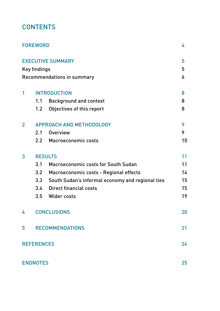# **CONTENTS**

|                | <b>FOREWORD</b>                 |                                                  | 4  |  |  |
|----------------|---------------------------------|--------------------------------------------------|----|--|--|
|                |                                 | <b>EXECUTIVE SUMMARY</b>                         | 5  |  |  |
|                | <b>Key findings</b>             |                                                  | 5  |  |  |
|                |                                 | <b>Recommendations in summary</b>                | 6  |  |  |
| 1              |                                 | <b>INTRODUCTION</b>                              | 8  |  |  |
|                | 1.1                             | <b>Background and context</b>                    | 8  |  |  |
|                | 1.2                             | Objectives of this report                        | 8  |  |  |
| $\overline{2}$ | <b>APPROACH AND METHODOLOGY</b> |                                                  |    |  |  |
|                | 2.1                             | <b>Overview</b>                                  | 9  |  |  |
|                | 2.2                             | Macroeconomic costs                              | 10 |  |  |
| 3              | <b>RESULTS</b>                  |                                                  |    |  |  |
|                | 3.1                             | <b>Macroeconomic costs for South Sudan</b>       | 11 |  |  |
|                | 3.2                             | Macroeconomic costs - Regional effects           | 14 |  |  |
|                | 3.3                             | South Sudan's informal economy and regional ties | 15 |  |  |
|                | 3.4                             | <b>Direct financial costs</b>                    | 15 |  |  |
|                | 3.5                             | Wider costs                                      | 19 |  |  |
| 4              |                                 | <b>CONCLUSIONS</b>                               | 20 |  |  |
| 5              |                                 | <b>RECOMMENDATIONS</b>                           | 21 |  |  |
|                | <b>REFERENCES</b>               |                                                  | 24 |  |  |
|                | <b>ENDNOTES</b>                 |                                                  | 25 |  |  |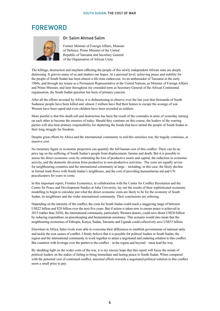# **FOREWORD**



#### Dr. Salim Ahmed Salim

Former Minister of Foreign Affairs, Minister of Defence, Prime Minister of the United Republic of Tanzania and Secretary General of the Organisation of African Unity.

The killings, destruction and mayhem afflicting the people of this newly independent African state are deeply distressing. It grieves many of us and shatters our hopes. At a personal level, achieving peace and stability for the people of South Sudan has been almost a life-time endeavour. As an ambassador of Tanzania in the early 1960s, and through my tenure as a Permanent Representative at the United Nations, as Minister of Foreign Affairs and Prime Minister, and later throughout my extended term as Secretary-General of the African Continental organisation, the South Sudan question has been of primary concern.

After all the efforts invested by Africa, it is disheartening to observe over the last year that thousands of South Sudanese people have been killed and almost 2 million have fled their homes to escape the scourge of war. Women have been raped and even children have been recruited as soldiers.

More painful is that this death toll and destruction has been the result of the comrades in arms of yesterday turning on each other to become the enemies of today. Should they continue on this course, the leaders of the warring parties will also bear primary responsibility for shattering the bonds that have united the people of South Sudan in their long struggle for freedom.

Despite great efforts by Africa and the international community to end this senseless war, the tragedy continues, at massive cost.

No monetary figure or economic projection can quantify the full human cost of this conflict. There can be no price tag on the suffering of South Sudan's people from displacement, famine and death. But it is possible to assess the direct economic costs by estimating the loss of productive assets and capital, the reduction in economic activity, and the domestic diversion from productive to non-productive activities. The costs are equally severe for neighbouring countries and the international community at large – including, in this case, the likely decline in formal trade flows with South Sudan's neighbours, and the cost of providing humanitarian aid and UN peacekeepers for years to come.

In this important report, Frontier Economics, in collaboration with the Center for Conflict Resolution and the Centre for Peace and Development Studies at Juba University, lay out the results of their sophisticated economic modelling to begin to calculate just what the direct economic costs are likely to be for the economy of South Sudan, its neighbours and the wider international community. Their conclusions are sobering.

Depending on the intensity of the conflict, the costs for South Sudan could reach a staggering range of between US\$22 billion and \$28 billion over the next five years. But if action is taken now to ensure peace is achieved in 2015 (rather than 2020), the international community, particularly Western donors, could save about US\$30 billion by reducing expenditure on peacekeeping and humanitarian assistance. This scenario would also mean that the neighbouring economies of Ethiopia, Kenya, Sudan, Tanzania and Uganda could collectively save US\$53 billion.

Elsewhere in Africa, bitter rivals were able to overcome their differences to establish governments of national unity and tackle the root causes of conflict. I firmly believe that it is possible for political leaders in South Sudan, the region and the international community to work together to attain a negotiated and enduring solution to this conflict. But countries with leverage over the parties to the conflict – in the region and beyond – must lead the way.

By shedding light on the wider costs of the war, it is my sincere hope that this report will focus the minds of political leaders on the stakes of failing to bring immediate and lasting peace to South Sudan. When compared with the potential cost of continued conflict, maximal efforts towards a negotiated political solution to this conflict seem a small price to pay.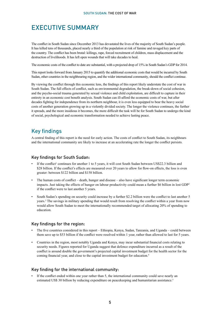# Executive Summary

The conflict in South Sudan since December 2013 has devastated the lives of the majority of South Sudan's people. It has killed tens of thousands, placed nearly a third of the population at risk of famine and ravaged key parts of the country. The conflict has been brutal: killings, rape, forced recruitment of children, mass displacement and the destruction of livelihoods. It has left open wounds that will take decades to heal.

The economic costs of the conflict to date are substantial, with a projected drop of 15% in South Sudan's GDP for 2014.

This report looks forward from January 2015 to quantify the additional economic costs that would be incurred by South Sudan, other countries in the neighbouring region, and the wider international community, should the conflict continue.

By viewing the conflict through this economic lens, the findings of this report likely understate the cost of war in South Sudan. The full effects of conflict, such as environmental degradation, the break-down of social cohesion, and the psycho-social trauma generated by sexual violence and child exploitation, are difficult to capture in their entirety in an economic cost benefit analysis. South Sudan can ill-afford the economic costs of war, but after decades fighting for independence from its northern neighbour, it is even less equipped to bear the heavy social costs of another generation growing up in a violently divided society. The longer the violence continues, the further it spreads, and the more insidious it becomes, the more difficult the task will be for South Sudan to undergo the kind of social, psychological and economic transformation needed to achieve lasting peace.

### Key findings

A central finding of this report is the need for early action. The costs of conflict to South Sudan, its neighbours and the international community are likely to increase at an accelerating rate the longer the conflict persists.

#### Key findings for South Sudan:

- If the conflict<sup>1</sup> continues for another 1 to 5 years, it will cost South Sudan between US\$22.3 billion and \$28 billion. If the conflict's effects are measured over 20 years to allow for flow-on effects, the loss is even greater: between \$122 billion and \$158 billion.
- The human costs of conflict death, hunger and disease also have significant longer term economic impacts. Just taking the effects of hunger on labour productivity could mean a further \$6 billion in lost GDP2 if the conflict were to last another 5 years.
- South Sudan's spending on security could increase by a further \$2.2 billion were the conflict to last another 5 years.3 The savings in military spending that would result from resolving the conflict within a year from now would allow South Sudan to meet the internationally recommended target of allocating 20% of spending to education.

#### Key findings for the region:

- The five countries considered in this report Ethiopia, Kenya, Sudan, Tanzania, and Uganda could between them save up to \$53 billion if the conflict were resolved within 1 year, rather than allowed to last for 5 years.
- Countries in the region, most notably Uganda and Kenya, may incur substantial financial costs relating to security needs. Figures reported for Uganda suggest that defence expenditure incurred as a result of the conflict is around double the government's projected capital investment budget for the health sector for the coming financial year, and close to the capital investment budget for education.<sup>4</sup>

#### Key finding for the international community:

If the conflict ended within one year rather than 5, the international community could save nearly an estimated US\$ 30 billion by reducing expenditure on peacekeeping and humanitarian assistance.<sup>5</sup>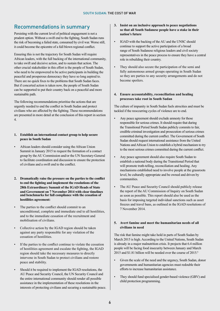### Recommendations in summary

Persisting with the current level of political engagement is not a prudent option. Without a swift end to the fighting, South Sudan runs the risk of becoming a failed state, consumed by civil war. Worse still, it could become the epicentre of a full blown regional conflict.

Ensuring this is not the trajectory for South Sudan will require African leaders, with the full backing of the international community, to take swift and decisive action, and to sustain that action. The other crucial stakeholder in this effort is the people of South Sudan, who need to be empowered to be active participants in building the peaceful and prosperous democracy they have so long aspired to. There are no quick fixes to the problems that South Sudan faces. But if concerted action is taken now, the people of South Sudan can be supported to put their country back on a peaceful and more sustainable path.

The following recommendations prioritise the actions that are urgently needed to end the conflict in South Sudan and protect civilians who are affected by the fighting. These recommendations are presented in more detail at the conclusion of this report in section 4.

- **1. Establish an international contact group to help secure peace in South Sudan**
- African leaders should consider using the African Union Summit in January 2015 to request the formation of a contact group by the AU Commission and/or the UN Secretary-General to facilitate coordination and discussion to ensure the protection of civilians and a swift end to the conflict.
- **2. Dramatically raise the pressure on the parties to the conflict to end the fighting and implement the resolutions of the 28th Extraordinary Summit of the IGAD Heads of State and Government on 7 November 2014 with clear timelines and benchmarks for full compliance with the cessation of hostilities agreement:**
- The parties to the conflict should commit to an unconditional, complete and immediate end to all hostilities, and to the immediate cessation of the recruitment and mobilisation of civilians.
- Collective action by the IGAD region should be taken against any party responsible for any violation of the cessation of hostilities.
- If the parties to the conflict continue to violate the cessation of hostilities agreement and escalate the fighting, the IGAD region should take the necessary measures to directly intervene in South Sudan to protect civilians and restore peace and stability.
- Should it be required to implement the IGAD resolutions, the AU Peace and Security Council, the UN Security Council and the entire international community should render all possible assistance in the implementation of these resolutions in the interests of protecting civilians and securing a sustainable peace.
- **3. Insist on an inclusive approach to peace negotiations so that all South Sudanese people have a stake in their nation's future**
- IGAD with the backing of the AU and the UNSC should continue to support the active participation of a broad range of South Sudanese religious leaders and civil society representatives in the peace process to ensure they have a central role in rebuilding their country.
- They should also secure the participation of the semi and fully autonomous armed groups operating in South Sudan so they are parties to any security arrangements and do not become spoilers.

#### **4. Ensure accountability, reconciliation and healing processes take root in South Sudan**

The culture of impunity in South Sudan fuels atrocities and must be tackled if the reoccurring cycles of violence are to end.

- Any peace agreement should exclude amnesty for those responsible for serious crimes. It should require that during the Transitional Period South Sudan publicly commits to fair, credible criminal investigation and prosecution of serious crimes committed during the current conflict. The Government of South Sudan should request international assistance from the United Nations and African Union to establish a hybrid mechanism to try to the most serious crimes committed during the current conflict.
- Any peace agreement should also require South Sudan to establish a national body during the Transitional Period that will promote truth-telling, reconciliation and healing. Any mechanisms established need to involve people at the grassroots level, be culturally appropriate and be owned and driven by communities.
- The AU Peace and Security Council should publicly release the report of the AU Commission of Inquiry on South Sudan as soon as possible. This report should also be used as the basis for imposing targeted individual sanctions such as asset freezes and travel bans, as outlined in the IGAD resolutions of 7 November 2014.

#### **5. Avert famine and meet the humanitarian needs of all civilians in need**

The risk that famine might take hold in parts of South Sudan by March 2015 is high. According to the United Nations, South Sudan is already in a major malnutrition crisis. It projects that 6.4 million people will be facing food insecurity between January and March 2015 and \$1.81 billion will be needed over the course of 2015.6

- Given the scale of the need and the urgency, South Sudan, donor governments and humanitarian agencies must redouble their efforts to increase humanitarian assistance.
- They should fund specialised gender-based violence (GBV) and child protection programming.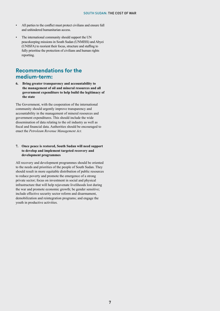- All parties to the conflict must protect civilians and ensure full and unhindered humanitarian access.
- The international community should support the UN peacekeeping missions in South Sudan (UNMISS) and Abyei (UNISFA) to reorient their focus, structure and staffing to fully prioritise the protection of civilians and human rights reporting.

### **Recommendations for the medium-term:**

**6. Bring greater transparency and accountability to the management of oil and mineral resources and all government expenditure to help build the legitimacy of the state**

The Government, with the cooperation of the international community should urgently improve transparency and accountability in the management of mineral resources and government expenditures. This should include the wide dissemination of data relating to the oil industry as well as fiscal and financial data. Authorities should be encouraged to enact the *Petroleum Revenue Management Act.*

#### **7. Once peace is restored, South Sudan will need support to develop and implement targeted recovery and development programmes**

All recovery and development programmes should be oriented to the needs and priorities of the people of South Sudan. They should result in more equitable distribution of public resources to reduce poverty and promote the emergence of a strong private sector; focus on investment in social and physical infrastructure that will help rejuvenate livelihoods lost during the war and promote economic growth; be gender sensitive; include effective security sector reform and disarmament, demobilization and reintegration programs; and engage the youth in productive activities.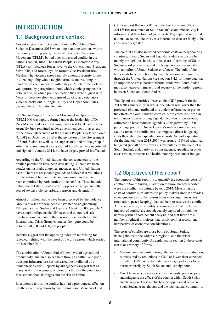# **INTRODUCTION**

### 1.1 Background and context

Violent internal conflict broke out in the Republic of South Sudan in December 2013 when long-standing tensions within the county's ruling party, the Sudan People's Liberation Movement (SPLM), boiled over into armed conflict in the nation's capital, Juba. The Sudan People's Liberation Army (SPLA) split between forces loyal to the Government (President Salva Kiir) and forces loyal to former Vice-President Riek Machar. The violence spread rapidly amongst security forces in Juba, engulfing whole neighbourhoods and resulting in hundreds of civilian deaths within days.<sup>7</sup> Much of the violence was spurred by perceptions about which ethnic group people belonged to, or which political faction they were aligned with. News of these developments spread quickly and retaliatory violence broke out in Jonglei, Unity and Upper Nile States, causing the SPLA to disintegrate.

The Sudan Peoples' Liberation Movement in Opposition (SPLM-IO) was rapidly formed under the leadership of Dr Riek Machar and its armed wing threatened to take over Juba. Arguably Juba remained under government control as a result of the quick intervention of the Uganda People's Defence Force (UPDF) in December 2013 at the invitation of the Government of South Sudan, as well as the support of allied militia groups.8 Attempts to implement a cessation of hostilities were negotiated and signed in January 2014, but have largely proved ineffectual.

According to the United Nations, the consequences for the civilian population have been devastating. There have been attacks on hospitals, churches, mosques, and United Nations bases. There are reasonable grounds to believe that violations of international human rights and humanitarian law have been committed by both parties to the conflict. These include extrajudicial killings, enforced disappearances, rape and other acts of sexual violence, arbitrary arrests and detention.<sup>9</sup>

Almost 2 million people have been displaced by the violence. About a quarter of these people have fled to neighbouring Ethiopia, Kenya, Sudan and Uganda. About 100,000 people<sup>10</sup> have sought refuge inside UN bases and do not feel safe to return home. Although there is no official death toll, the International Crisis Group estimates the figure could be between 50,000 and 100,000 people.<sup>11</sup>

Reports suggest that the opposing sides are mobilising for renewed fighting with the onset of the dry season, which started in December 2014.

The combination of South Sudan's low level of agricultural productivity, human displacement through conflict, and poor transport infrastructure has increased the likelihood of a humanitarian crisis. Reports by aid agencies suggest that as many as 4 million people, or close to a third of the population, face serious food shortages and the risk of famine.

In economic terms, the conflict has had a pronounced effect on South Sudan. Projections by the International Monetary Fund

(IMF) suggest that real GDP will decline by around 15% in 2014.12 Because much of South Sudan's economic activity is informal, and therefore not (or imperfectly) captured in formal national accounts, the true costs incurred to date are likely to be considerably greater.

The conflict has also imposed economic costs on neighbouring countries, notably Sudan and Uganda. Sudan's exposure lies mainly through the shortfalls in its share of earnings of South Sudanese oil production, and the budgetary costs associated with an influx of South Sudanese refugees. The bulk of the latter costs have been borne by the international community through the United Nations (see section 3.4.3 for more details). Disruptions to cross-border informal trade with South Sudan may also negatively impact food security in the border regions between Sudan and South Sudan.

The Ugandan authorities observed that GDP growth for the 2013-2014 financial year was 4.7%, which was lower than the projected 6%, and attributed this underperformance in part to the effects of South Sudan's conflict. A projected 30% drop in remittances from returning Ugandan workers is, on its own, estimated to have reduced Uganda's GDP growth by 0.2-0.3 percentage points.13 Due to Uganda's military involvement in South Sudan, the conflict has also imposed direct budgetary costs through higher spending on security. Security spending for the financial year 2013-2014 was around 111% of what was budgeted (not all of this excess is attributable to the conflict in South Sudan), and, partly as a consequence, spending in other areas (water, transport and health, notably) was under budget.

### 1.2 Objectives of this report

The purpose of this report is to quantify the economic costs of conflict in South Sudan, in addition to those already reported, were the conflict to continue beyond 2014. Measuring the costs of conflict is of interest to policy makers since it provides some guidance as to the returns from investing in measures (mediation, peace-keeping) that can help to resolve the conflict. At the same time, it is readily acknowledged that the human impacts of conflict are not adequately captured through the narrow prism of cost-benefit analysis, and that there are a number of ethical principles that justify conflict resolution, irrespective of economic considerations.

The costs of conflict are those borne by South Sudan, its neighbours in the wider sub-region $14$ , and the wider international community. As explained in section 2, these costs can take a variety of forms:

- Macro-economic costs through the lost value of production, as measured by reductions in GDP or lower-than-expected growth in GDP. We anticipate this category of costs to be borne primarily by South Sudan and its neighbours.
- Direct financial costs associated with security, peacekeeping and mitigating the effects of the conflict within South Sudan and the region. These are likely to be apportioned between South Sudan, its neighbours and the international community.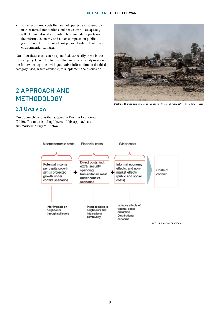Wider economic costs that are not (perfectly) captured by market formal transactions and hence are not adequately reflected in national accounts. These include impacts on the informal economy and adverse impacts on public goods, notably the value of lost personal safety, health, and environmental damages.

Not all of these costs can be quantified, especially those in the last category. Hence the focus of the quantitative analysis is on the first two categories, with qualitative information on the third category used, where available, to supplement the discussion.

# 2 Approach and **METHODOLOGY**

### 2.1 Overview

Our approach follows that adopted in Frontier Economics (2010). The main building blocks of this approach are summarised in Figure 1 below.



Destroyed homes burn in Malakal, Upper Nile State, February 2014. Photo: Tim Freccia

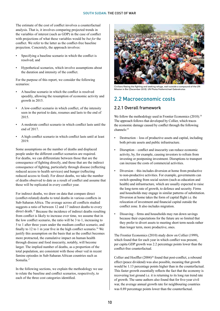The estimate of the cost of conflict involves a counterfactual analysis. That is, it involves comparing projected trends in the variables of interest (such as GDP) in the case of conflict with projections of what these variables would be *but for* the conflict. We refer to the latter as the conflict-free baseline projection. Concretely, the approach involves:

- Specifying a baseline scenario in which the conflict is resolved; and
- Hypothetical scenarios, which involve assumptions about the duration and intensity of the conflict.

For the purpose of this report, we consider the following scenarios:

- A baseline scenario in which the conflict is resolved speedily, allowing the resumption of economic activity and growth in 2015.
- A low-conflict scenario in which conflict, of the intensity seen in the period to date, resumes and lasts to the end of 2015.
- A moderate conflict scenario in which conflict lasts until the end of 2017.
- A high conflict scenario in which conflict lasts until at least 2019.

Some assumptions on the number of deaths and displaced people under the different conflict scenarios are required. For deaths, we can differentiate between those that are the consequence of fighting directly, and those that are the indirect consequence of fighting, particularly through disease (reflecting reduced access to health services) and hunger (reflecting reduced access to food). For direct deaths, we take the number of deaths observed to date as a result of conflict and assume that these will be replicated in every conflict year.

For indirect deaths, we draw on data that compare direct (conflict-related) deaths to total deaths in various conflicts in Sub-Saharan Africa. The average across all conflicts studied suggests a ratio of between 12 and 17 indirect deaths to every direct death.15 Because the incidence of indirect deaths resulting from conflict is likely to increase over time, we assume that in the low conflict scenario, the ratio will be 3 to 1, increasing to 5 to 1 after three years under the medium conflict scenario, and finally to 12 to 1 in year five in the high conflict scenario.<sup>16</sup> We justify this assumption on the basis that as the conflict becomes more protracted, the cumulative impact on human health through disease and food insecurity, notably, will become larger. The implied number of deaths, as a proportion of the total population, are consistent with those obser ved in recent famine episodes in Sub-Saharan African countries such as Somalia.17

In the following sections, we explain the methodology we use to relate the baseline and conflict scenarios, respectively, to each of the three cost categories identified.



Civilians fleeing the fighting and seeking refuge, wait outside a compound of the UN Mission in Bor (December 2013). UN Photo/Hailemichael Gebrekrstos

### 2.2 Macroeconomic costs

### 2.2.1 Overall framework

We follow the methodology used in Frontier Economics (2010).<sup>18</sup> The approach follows that developed by Collier, which traces the economic damage caused by conflict through the following channels:19

- Destruction loss of productive assets and capital, including both private assets and public infrastructure.
- Disruption conflict and insecurity can reduce economic activity, by, for example, causing investors to refrain from investing or postponing investment. Disruptions to transport can increase the costs of commercial activities.
- Diversion this includes diversion at home from productive to non-productive activities. For example, governments can switch spending from social sectors (such as education and health) and infrastructure, which are usually expected to raise the long-term rate of growth, to defence and security. Firms and households may engage in similar patterns of substitution. Diversion at home takes the form of capital flight i.e. the relocation of investment and financial capital outside the conflict zone. It also includes migration.
- Dissaving firms and households may run down savings because their expectations for the future are so limited that they prefer to divert assets to meeting short term needs rather than longer term, more productive, ones.

The Frontier Economics (2010) study drew on Collier (1999), which found that for each year in which conflict was present, per capita GDP growth was 2.2 percentage points lower than the conflict-free counterfactual.

Collier and Hoeffler (2004)<sup>20</sup> found that post-conflict, a rebound effect (peace dividend) was also possible, meaning that growth would be 1.13 percentage points higher than in the counterfactual. This faster growth essentially reflects the fact that the economy is recovering lost ground i.e. it is returning to its long run trend rate of growth. The same authors also found that for five-year civil war, the average annual growth rate for neighbouring countries was 0.89 percentage points lower than the counterfactual.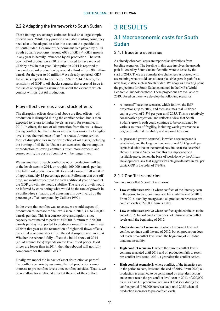### 2.2.2 Adapting the framework to South Sudan

These findings are average estimates based on a large sample of civil wars. While they provide a valuable starting point, they need also to be adapted to take into account the specificities of South Sudan. Because of the dominant role played by oil in South Sudan's economy (around  $60\%$  of GDP) $^{21}$ , GDP growth in any year is heavily influenced by oil production. The shutdown of oil production in 2012 is estimated to have reduced GDP by 45% in that year. Disruption in 2014 is reported to have reduced oil production by around a third – from 90 million barrels for the year to 60 million.<sup>22</sup> As already reported, GDP for 2014 is expected to decline by 15% in 2014. Clearly, the sensitivity of GDP to oil shocks suggests that a crucial issue is the use of appropriate assumptions about the extent to which conflict will disrupt oil production.

### Flow effects versus asset stock effects

The disruption effects described above are flow effects – oil production is disrupted during the conflict period, but is then expected to return to higher levels, as seen, for example, in 2013. In effect, the rate of oil extraction from the wells slows during conflict, but then returns more or less smoothly to higher levels once the incidence of conflict abates. A more serious form of disruption lies in the destruction of oil assets, including the burning of oil fields. Under such scenarios, the resumption of production following conflict is much more difficult, and consequently, the costs of conflict will be longer lived.

We assume that for each conflict year, oil production will be at the levels seen in 2014, or roughly 160,000 barrels per day. The fall in oil production in 2014 caused a one-off fall in GDP of approximately 15 percentage points. Following that one-off drop, we would expect that for each additional year of conflict the GDP growth rate would stabilise. The rate of growth would be inferred by considering what would be the rate of growth in a conflict-free situation, and adjusting this downwards by the percentage effect computed by Collier (1999).

In the event that conflict was to cease, we would expect oil production to increase to the levels seen in 2013, i.e. to 220,000 barrels per day. This is a conservative assumption, since capacity is estimated to peak at 340,000. A return to 220,000 barrels per day is expected to produce a one-off increase in real GDP in that year as the resumption of higher oil flows offsets the initial economic shock from the oil disruption seen in 2014. Whether the rebound fully offsets the initial shock of 2014 (i.e. of around 15%) depends on the level of oil prices. If oil prices are lower than in 2014, then the rebound will not fully compensate for the initial loss.23

Finally, we model the impact of asset destruction as part of the conflict scenario by assuming that oil production cannot increase to pre-conflict levels once conflict subsides. That is, we do not allow for a rebound effect at the end of the conflict.

# 3 Results 3.1 Macroeconomic costs for South Sudan

#### 3.1.1 Baseline scenarios

As already observed, costs are reported as deviations from baseline scenarios. The baseline in this case involves the growth path followed by South Sudan if conflict were to cease by the start of 2015. There are considerable challenges associated with ascertaining what would constitute a plausible growth path for a new, fragile state such as South Sudan. We adopt as a starting point the projections for South Sudan contained in the IMF's World Economic Outlook database. These projections are available to 2019. Based on these, we develop the following scenarios:

- A "normal" baseline scenario, which follows the IMF projections, up to 2019, and then assumes real GDP per capita growth of 3.3% per year until 2035. This is a relatively conservative projection; and reflects a view that South Sudan's growth path could continue to be constrained by various sources of fragility, including weak governance, a degree of internal instability and regional tensions.
- A "peace and growth scenario", in which a secure peace is established, and the long run trend rate of real GDP growth per capita is double that in the normal baseline scenario described above i.e. around 6.6%. We find this assumption to be a justifiable projection on the basis of work done by the African Development Bank that suggests feasible growth rates in real per capita GDP in the order of 7%-8%.

### 3.1.2 Conflict scenarios

We have modelled 5 conflict scenarios:

- Low-conflict scenario 1: where conflict, of the intensity seen in the period to date, continues and lasts until the end of 2015. From 2016, stability emerges and oil production reverts to preconflict levels at 220,000 barrels a day.
- **• Low-conflict scenario 2:** where conflict again continues to the end of 2015, but oil production does not return to pre-conflict levels until the beginning of 2017.
- **• Moderate conflict scenario:** in which the current levels of conflict continue until the end of 2017, but oil production does not reach pre-conflict levels until the beginning of 2018 due ongoing instability.
- **• High conflict scenario 1:** where the current conflict levels continue unabated until 2019 and oil production fails to reach pre-conflict levels until 2021, a year after the conflict ceases.
- **High conflict scenario 2:** where conflict, of the intensity seen in the period to date, lasts until the end of 2019. From 2020, oil production is assumed to be constrained by asset destruction and cannot reach the pre conflict level seen in 2013 of 220,000 barrels a day. Oil production remains at that seen during the conflict period (160,000 barrels a day), until 2025 when oil production increases to pre-conflict levels.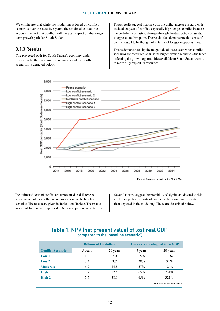We emphasise that while the modelling is based on conflict scenarios over the next five years, the results also take into account the fact that conflict will have an impact on the longer term growth path for South Sudan.

#### 3.1.3 Results

The projected path for South Sudan's economy under, respectively, the two baseline scenarios and the conflict scenarios is depicted below:

These results suggest that the costs of conflict increase rapidly with each added year of conflict, especially if prolonged conflict increases the probability of lasting damage through the destruction of assets, as opposed to disruption. The results also demonstrate that costs of conflict ought to be thought of in terms of foregone opportunities.

This is demonstrated by the magnitude of losses seen when conflict scenarios are measured against the higher growth scenario – the latter reflecting the growth opportunities available to South Sudan were it to more fully exploit its resources.



The estimated costs of conflict are represented as differences between each of the conflict scenarios and one of the baseline scenarios. The results are given in Table 1 and Table 2. The results are cumulative and are expressed in NPV (net present value terms).

Several factors suggest the possibility of significant downside risk i.e. the scope for the costs of conflict to be considerably greater than depicted in the modelling. These are described below.

### Table 1. NPV (net present value) of lost real GDP (compared to the 'baseline scenario')

|                          | <b>Billions of US dollars</b> |          | Loss as percentage of 2014 GDP |                                   |  |
|--------------------------|-------------------------------|----------|--------------------------------|-----------------------------------|--|
| <b>Conflict Scenario</b> | 5 years                       | 20 years | 5 years                        | 20 years                          |  |
| Low 1                    | 1.8                           | 2.0      | 15%                            | 17%                               |  |
| Low <sub>2</sub>         | 3.4                           | 3.7      | 28%                            | 31%                               |  |
| <b>Moderate</b>          | 6.7                           | 14.8     | 57%                            | 124%                              |  |
| High 1                   | 7.7                           | 27.5     | 65%                            | 231%                              |  |
| High 2                   | 7.7                           | 38.1     | 65%                            | 321%                              |  |
|                          |                               |          |                                | <b>Source: Frontier Economics</b> |  |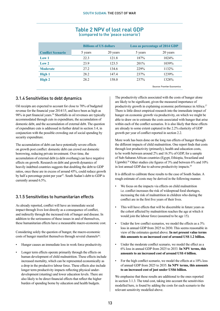|                          | <b>Billions of US dollars</b> |          | Loss as percentage of 2014 GDP |                            |
|--------------------------|-------------------------------|----------|--------------------------------|----------------------------|
| <b>Conflict Scenario</b> | 5 years                       | 20 years | 5 years                        | 20 years                   |
| Low 1                    | 22.3                          | 121.8    | 187%                           | 1024%                      |
| Low <sub>2</sub>         | 23.9                          | 123.5    | 201%                           | 1039%                      |
| <b>Moderate</b>          | 27.2                          | 134.6    | 229%                           | 1132%                      |
| <b>High 1</b>            | 28.2                          | 147.4    | 237%                           | 1239%                      |
| High 2                   | 28.2                          | 158.0    | 237%                           | 1328%                      |
|                          |                               |          |                                | Source: Frontier Economics |

#### Table 2 NPV of lost real GDP (compared to the 'peace scenario')

### 3.1.4 Sensitivities to debt dynamics

Oil receipts are expected to account for close to 70% of budgeted revenue for the financial year 2014/15, and have been as high as 98% in part financial years.<sup>24</sup> Shortfalls in oil revenues are typically accommodated through cuts in expenditure, the accumulation of domestic debt, and the accumulation of external debt. The question of expenditure cuts is addressed in further detail in section 3.4, in conjunction with the possible crowding out of social spending by security expenditure.

The accumulation of debt can have potentially severe effects on growth post conflict: domestic debt can crowd out domestic borrowing, reducing private investment. Over time, the accumulation of external debt (a debt overhang) can have negative effects on growth. Research on debt and growth dynamics of heavily indebted countries suggests that doubling the debt to GDP ratios, once these are in excess of around 45%, could reduce growth by half a percentage point per year<sup>25</sup>. South Sudan's debt to GDP is currently around 6.5%.

### 3.1.5 Sensitivities to humanitarian effects

As already reported, conflict will have an immediate social impact through lives lost directly as a consequence of conflict, and indirectly through the increased risk of hunger and disease. In addition to the seriousness of these issues in and of themselves, these humanitarian effects have a measurable macro-economic cost.

Considering solely the question of hunger, the macro-economic costs of hunger manifest themselves through several channels<sup>26</sup>:

- Hunger causes an immediate loss in work force productivity.
- Longer term effects operate primarily through the effects on human development of child malnutrition. These effects include increased mortality, which can be represented economically as a drop in the productive labour force. These effects also include longer term productivity impacts reflecting physical underdevelopment (stunting) and lower education levels. There are also likely to be direct financial effects that reflect the higher burden of spending borne by education and health budgets.

The productivity effects associated with the costs of hunger alone are likely to be significant, given the measured importance of productivity growth in explaining economic performance in Africa.<sup>27</sup> There is little direct empirical research into the immediate impact of hunger on economic growth via productivity, on which we might be able to draw on to estimate the costs associated with hunger that arise within each of the conflict scenarios. It is also likely that these effects are already to some extent captured in the 2.2% elasticity of GDP growth per year of conflict reported in section 2.2.

More work has been done on the long run effects of hunger through the different impacts of child malnutrition. One report finds that costs through lost productivity (primarily), health and education costs, to be worth between around 2% and 16.5% of GDP, for a sample of Sub-Saharan African countries (Egypt, Ethiopia, Swaziland and Uganda).<sup>28</sup> Other studies cite figures of 3% and between 6% and 10% in lost annual GDP due to adverse productivity impacts.29

It is difficult to calibrate these results to the case of South Sudan. A rough estimate of costs may be derived in the following manner.

- We focus on the impacts via effects on child malnutrition i.e. conflict increases the risk of widespread food shortages, increasing the risk of malnutrition in children who during the conflict are in the first five years of their lives.
- This will have effects that will be discernible in future years as the cohort affected by malnutrition reaches the age at which it would join the labour force (assumed to be age 15).
- Under the low conflict scenarios, we model the effects as a  $3\%$ loss in annual GDP from 2025 to 2030. This seems reasonable in view of the estimates quoted above. **In net present value terms this amounts to an increased cost of around US\$ 1.2 billion.**
- Under the moderate conflict scenario, we model the effect as a 6% loss in annual GDP from 2025 to 2033. **In NPV terms, this amounts to an increased cost of around US\$ 4 billion.**
- For the high conflict scenario, we model the effects at a 10% loss of annual GDP from 2025 to 2035. **In NPV terms, this amounts to an increased cost of just under US\$6 billion.**

We emphasise that these results are additional to the ones reported in section 3.1.3. The total cost, taking into account the sensitivities modelled here, is found by adding the costs for each scenario to the relevant sensitivity modelled above.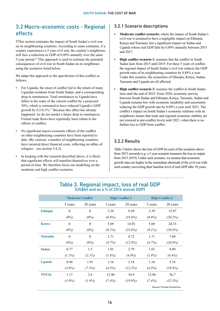### 3.2 Macro-economic costs - Regional effects

TThis section estimates the impact of South Sudan's civil war on its neighbouring countries. According to some estimates, if a country experiences a 5 year civil war, the country's neighbours will face a reduction in GDP of 0.89% annually over the same 5 year period.30 This approach is used to estimate the potential consequences of civil war in South Sudan on its neighbours using the scenarios listed below.

We adapt this approach to the specificities of this conflict as follows:

- For Uganda, the onset of conflict led to the return of many Ugandan residents from South Sudan, and a corresponding drop in remittances. Total remittances to Uganda have fallen in the wake of the current conflict by a projected 30%, which is estimated to have reduced Uganda's GDP growth by 0.2-0.3%.31 Because this effect has already happened, we do not model a future drop in remittances. Formal trade flows have reportedly been robust to the effects of conflict.
- No significant macro-economic effects of the conflict on other neighbouring countries have been reported to date. (By contrast, a number of neighbouring countries have incurred direct financial costs, reflecting an influx of refugees – see section 3.4.2).
- In keeping with the research described above, it is likely that significant effects will manifest themselves over a period of time. We therefore focus our modelling on the moderate and high conflict scenarios.

### 3.2.1 Scenario descriptions

- **• Moderate conflict scenario:** where the impact of South Sudan's civil war is assumed to have a negligible impact on Ethiopia, Kenya and Tanzania, but a significant impact on Sudan and Uganda whose real GDP falls by 0.89% annually between 2015 and 2017.
- **• High conflict scenario 1:** assumes that the conflict in South Sudan lasts from 2015 until 2019. For these 5 years of conflict, the regional impact of South Sudan's civil war reduces the GDP growth rates of its neighbouring countries by 0.89% a year. Under this scenario, the economies of Ethiopia, Kenya, Sudan, Tanzania and Uganda are all affected.
- **High conflict scenario 2:** assumes the conflict in South Sudan lasts until the end of 2019. From 2020, economic activity between South Sudan and Ethiopia, Kenya, Tanzania, Sudan and Uganda remains low with economic instability and uncertainty reducing the GDP growth rate by 0.89% a year until 2021. The conflict's impact on South Sudan's economic relations with its neighbours means that trade and regional economic stability are not restored to pre-conflict levels until 2021, when there is no further loss to GDP from conflict.

### 3.2.2 Results

Table 3 below shows the loss of GDP for each of the scenarios above from 2015 onwards (e.g. a 5 year scenario measures the loss in output from 2015-2019). Under each scenario, we assume that economic growth rates are higher in the immediate aftermath of the civil war with each country recovering their baseline level of real GDP after 10 years.

|                 | (USSUIT dilu dS d) 70 UT ZUT4 dililudi ODF J |                          |                        |            |           |                                   |  |
|-----------------|----------------------------------------------|--------------------------|------------------------|------------|-----------|-----------------------------------|--|
|                 |                                              | <b>Moderate Conflict</b> | <b>High Conflict 1</b> |            |           | <b>High Conflict 2</b>            |  |
|                 | 5 years                                      | 20 years                 | 5 years                | 20 years   | 5 years   | 20 years                          |  |
| <b>Ethiopia</b> | $\mathbf{0}$                                 | $\mathbf{0}$             | 3.39                   | 9.30       | 3.39      | 15.07                             |  |
|                 | $(0\%)$                                      | (0%)                     | $(6.8\%)$              | (18.6%)    | $(6.8\%)$ | $(30.2\%)$                        |  |
| <b>Kenya</b>    | $\mathbf{0}$                                 | $\theta$                 | 5.69                   | 14.92      | 5.69      | 24.33                             |  |
|                 | (0%)                                         | (0%)                     | $(9.1\%)$              | (23.8%)    | $(9.1\%)$ | (38.8%)                           |  |
| <b>Tanzania</b> | $\theta$                                     | $\mathbf{0}$             | 1.71                   | 4.72       | 1.71      | 7.60                              |  |
|                 | (0%)                                         | $(0\%)$                  | $(4.7\%)$              | $(12.9\%)$ | (4.7%)    | (20.8%)                           |  |
| <b>Sudan</b>    | 0.77                                         | 1.5                      | 1.01                   | 2.79       | 1.01      | 4.49                              |  |
|                 | $(1.1\%)$                                    | $(2.1\%)$                | $(1.4\%)$              | $(4.0\%)$  | $(1.4\%)$ | $(6.4\%)$                         |  |
| <b>Uganda</b>   | 0.94                                         | 1.91                     | 1.16                   | 3.18       | 1.16      | 5.18                              |  |
|                 | $(3.6\%)$                                    | (7.3%)                   | $(4.5\%)$              | (12.2%)    | (4.5%)    | (19.8%)                           |  |
| <b>TOTAL</b>    | 1.17                                         | 3.4                      | 12.96                  | 34.9       | 12.96     | 56.7                              |  |
|                 | $(1.0\%)$                                    | $(1.9\%)$                | $(7.4\%)$              | $(19.9\%)$ | $(7.4\%)$ | (32.3%)                           |  |
|                 |                                              |                          |                        |            |           | <b>Source: Frontier Economics</b> |  |

### Table 3. Regional impact, loss of real GDP  $(U\subset \mathbb{C}^n)$  and as a  $\mathbb{C}^n$  of 2014 annual GDP)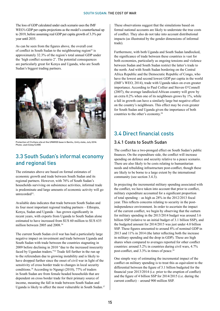The loss of GDP calculated under each scenario uses the IMF WEO's GDP per capita projections as the model's counterfactual up to 2019, before assuming real GDP per capita growth of 3.3% per year until 2035.

As can be seen from the figures above, the overall cost of conflict in South Sudan to the neighbouring region<sup>32</sup> is approximately 32.3% of the region's total annual GDP under the 'high conflict scenario 2'. The potential consequences are particularly great for Kenya and Uganda, who are South Sudan's biggest trading partners.



Protection of Civilians site at the UNMISS base in Bentiu, Unity state, July 2014. Photo: Josh Estey/CARE

### 3.3 South Sudan's informal economy and regional ties

The estimates above are based on formal estimates of economic growth and trade between South Sudan and its regional partners. However, with 76% of South Sudan's households surviving on subsistence activities, informal trade is predominate and large amounts of economic activity will go unrecorded<sup>33</sup>.

Available data indicates that trade between South Sudan and its four most important regional trading partners – Ethiopia, Kenya, Sudan and Uganda – has grown significantly in recent years, with exports from Uganda to South Sudan alone estimated to have increased from \$US 60 million to \$US 635 million between 2005 and 2008.34

The current South Sudan civil war has had a particularly large negative impact on investment and trade between Uganda and South Sudan with trade between the countries stagnating in 2009 before declining in 2010 "due to the increased insecurity faced by Ugandan traders."35 Trade fell further in the run up to the referendum due to growing instability and is likely to have dropped further since the onset of civil war in light of the sensitivity of cross border trade to changes in local security conditions.36 According to Ngungi (2010), 77% of traders in South Sudan are from female headed households that are dependent on cross border trade for their primary source of income, meaning the fall in trade between South Sudan and Uganda is likely to affect the most vulnerable in South Sudan.37 These observations suggest that the simulations based on formal national accounts are likely to understate the true costs of conflict. They also do not take into account distributional impacts (as illustrated by the gender dimensions of informal trade).

Furthermore, with both Uganda and South Sudan landlocked, the significance of trade between these countries is vast for both economies, particularly as ongoing tensions and violence between Sudan and South Sudan restrict the latter's trade to the north. And with South Sudan bordering on the Central Africa Republic and the Democratic Republic of Congo, who have the lowest and second lowest GDP per capita in the world (IMF's WEO, 2014), trade with Uganda takes on even greater importance. According to Paul Collier and Steven O'Connell (2007), the average landlocked African country will grow by an extra  $0.2\%$  when one of its neighbours grows by  $1\%$ , while a fall in growth can have a similarly large but negative effect on the country's neighbours. This effect may be even greater for South Sudan and Uganda given the importance of both countries to the other's economy.<sup>38</sup>

### 3.4 Direct financial costs

### 3.4.1 Costs to South Sudan

The conflict has a two-pronged effect on South Sudan's public finances. On the expenditure side, the conflict will increase spending on defence and security relative to a peace scenario. There are also likely to be costs relating to humanitarian needs and rebuilding infrastructure post-conflict, though these are likely to be borne to a large extent by the international community (see section 3.4.3).

In projecting the incremental military spending associated with the conflict, we have taken into account that prior to conflict, military expenditure accounted for a significant proportion of total spending – as high as 28% in the 2012/2013 fiscal year. This reflects concerns relating to security in the postindependence environment. In order to ascertain the impact of the current conflict, we begin by observing that the outturn for military spending in the 2013/2014 budget was around 3.6 billion SSP (relative to an initial budget of 3.1 billion SSP), and the budgeted amount for 2014/2015 was just under 4.0 billion SSP. These figures amounted to around 8% of nominal GDP in 2013 and 11% in 2014 (the latter reflecting both the increase in military spending and the drop in GDP). These are high shares when compared to averages reported for other conflict countries: around 5.2% in countries during civil wars, 4.7% post-conflict, and 3.3% in times of peace.<sup>39</sup>

One simple way of estimating the incremental impact of the conflict on military spending is to treat this as equivalent to the differential between the figure of 3.1 billion budgeted for the financial year 2013/2014 (i.e. prior to the eruption of conflict) and the figure of 4 billion SSP for 2014/2015 (i.e. during the current conflict) – around 900 million SSP.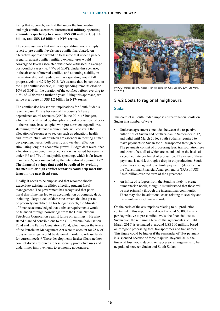#### Using that approach, we find that under the low, medium and high-conflict scenarios, **incremental military spending amounts respectively to around US\$ 290 million, US\$ 1.0 billion, and US\$ 1.5 billion in NPV terms.**

The above assumes that military expenditure would simply revert to pre-conflict levels once conflict has abated. An alternative approach would be to assume that under a peacescenario, absent conflict, military expenditures would converge to levels associated with those witnessed in average post-conflict cases (i.e. 4.7% of GDP). Under this scenario, in the absence of internal conflict, and assuming stability in the relationship with Sudan, military spending would fall progressively to 4.7% by 2018. We assume that, by contrast, in the high conflict scenario, military spending remains close to 10% of GDP for the duration of the conflict before reverting to 4.7% of GDP over a further 5 years. Using this approach, we arrive at a figure of **US\$ 2.2 billion in NPV terms**.

The conflict also has serious implications for South Sudan's revenue base. This is because of the country's heavy dependence on oil revenues (70% in the 2014-15 budget), which will be affected by disruptions to oil production. Shocks to the resource base, coupled with pressures on expenditures stemming from defence requirements, will constrain the allocation of resources to sectors such as education, health and infrastructure, all of which are essential in meeting human development needs, both directly and via their effect on stimulating long run economic growth. Budget data reveal that allocations to expenditure on education has varied between just under 4% and 7% of total public spending, which is far lower than the 20% recommended by the international community.40 **The financial savings that could be realised by avoiding the medium or high conflict scenarios could help meet this target in the next fiscal year.** 

Finally, it needs to be emphasised that resource shocks exacerbate existing fragilities affecting prudent fiscal management. The government has recognised that poor fiscal discipline has led to an accumulation of domestic debt, including a large stock of domestic arrears that has yet to be precisely quantified. In his budget speech, the Minister of Finance acknowledged that defence requirements would be financed through borrowings from the China National Petroleum Corporation against future oil earnings<sup>41</sup>. He also stated planned contributions to the Oil Revenue Stabilisation Fund and the Future Generations Fund, which under the terms of the Petroleum Management Act were to account for 25% of gross oil earnings, would be deferred in order to release funds for current needs.42 These developments further illustrate how conflict diverts resources to less socially productive uses and undermines improvements to economic governance.



UNPOL enforces security measures at IDP camps in Juba. January 2014. UN Photo/ Isaac Billy

### 3.4.2 Costs to regional neighbours

#### Sudan

The conflict in South Sudan imposes direct financial costs on Sudan in a number of ways:

- Under an agreement concluded between the respective authorities of Sudan and South Sudan in September 2012, and valid until March 2016, South Sudan is required to make payments to Sudan for oil transported through Sudan. The payments consist of processing fees, transportation fees and transit fees, all of which are calculated on the basis of a specified rate per barrel of production. The value of these payments is at risk through a drop in oil production. South Sudan has also agreed to a "finite payment" (described as the Transitional Financial Arrangement, or TFA) of US\$ 3.028 billion over the term of the agreement.
- An influx of refugees from the South is likely to create humanitarian needs, though it is understood that these will be met primarily through the international community. There may also be additional costs relating to security and the maintenance of law and order.

On the basis of the assumptions relating to oil production contained in this report i.e. a drop of around 60,000 barrels per day relative to pre-conflict levels, the financial loss to Sudan over the remaining term of the agreements (i.e. until March 2016) is estimated at around US\$ 300 million, based on foregone processing fees, transport fees and transit fees. This figure could be higher if the remainder of TFA payment is suspended because of force majeure. Beyond 2016, the financial loss would depend on successor arrangements to be negotiated between Sudan and South Sudan.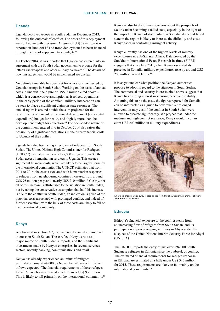#### Uganda

Uganda deployed troops in South Sudan in December 2013, following the outbreak of conflict. The costs of this deployment are not known with precision. A figure of US\$65 million was reported in June 201443 and troop deployment has been financed through the use of supplementary budgets.<sup>44</sup>

In October 2014, it was reported that Uganda had entered into an agreement with the South Sudan government to procure for the latter's use weapons and other military hardware.<sup>45</sup> The details of how this agreement would be implemented are unclear.

No definite timetable has been set for operations conducted by Ugandan troops in South Sudan. Working on the basis of annual costs in line with the figure of US\$65 million cited above – which is a conservative assumption as it reflects operations in the early period of the conflict – military intervention can be seen to place a significant claim on state resources. The annual figure is around double the sum projected for the government component of the annual development (i.e. capital expenditure) budget for health, and slightly more than the development budget for education.<sup>46</sup> The open-ended nature of the commitment entered into in October 2014 also raises the possibility of significant escalations in the direct financial costs to Uganda of the conflict.

Uganda has also been a major recipient of refugees from South Sudan. The United Nations High Commissioner for Refugees (UNHCR) estimates that nearly 125,000 refugees from South Sudan access humanitarian services in Uganda. This creates significant financial costs, which are likely to be largely borne by the international community. The UNHCR estimates that from 2011 to 2014, the costs associated with humanitarian responses to refugees from neighbouring countries increased from around US\$ 76 million per year to nearly US\$ 210 million.47 Clearly, not all of this increase is attributable to the situation in South Sudan, but by taking the conservative assumption that half this increase is due to the conflict in South Sudan, an indication is given of the potential costs associated with prolonged conflict, and indeed of further escalation, with the bulk of these costs are likely to fall on the international community.

#### Kenya

As observed in section 3.2, Kenya has substantial commercial interests in South Sudan. These reflect Kenya's role as a major source of South Sudan's imports, and the significant investments made by Kenyan enterprises in several services sectors, notably banking, communications and retail.

Kenya has already experienced an influx of refugees – estimated at around 44,000 by November 2014 – with further inflows expected. The financial requirements of these refugees for 2015 have been estimated at a little over US\$ 93 million. This is likely to fall primarily on the international community.<sup>48</sup> Kenya is also likely to have concerns about the prospects of South Sudan becoming a failed state, especially in the light of the impact on Kenya of state failure in Somalia. A second failed state in the region is likely to increase the difficulty and costs Kenya faces in controlling insurgent activity.

Kenya currently has one of the highest levels of military expenditures in Sub-Saharan Africa. Data provided by the Stockholm International Peace Research Institute (SIPRI) suggests that since late 2011, when Kenya escalated its presence in Somalia, military expenditures rose by around US\$ 200 million in real terms.49

It is as yet unclear what position the Kenyan authorities propose to adopt in regard to the situation in South Sudan. The commercial and security interests cited above suggest that Kenya has a strong interest in securing peace and stability. Assuming this to be the case, the figures reported for Somalia can be interpreted as a guide to how much a prolonged intervention may cost if the conflict in South Sudan were allowed to escalate significantly. We project that under the medium and high conflict scenarios, Kenya would incur an extra US\$ 200 million in military expenditures.



An armed group carries away looted goods from Malakal, Upper Nile State, February 2014. Photo: Tim Freccia

#### **Ethiopia**

Ethiopia's financial exposure to the conflict stems from an increasing flow of refugees from South Sudan, and its participation in peace-keeping activities in Abyei under the auspices of the United Nations Interim Security Force for Abyei (UNISFA).

The UNHCR reports the entry of just over 194,000 South Sudanese refugees in Ethiopia since the outbreak of conflict. The estimated financial requirements for refugee response in Ethiopia are estimated at a little under US\$ 345 million for 2015. These requirements are likely to fall mainly on the international community. 50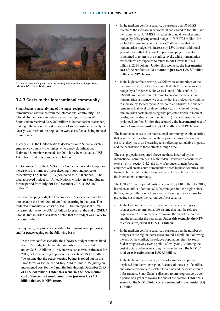

A "Nuer White Army" fighter stands in a burning field near Akobo, Jonglei State, February 2014. Photo: Tim Freccia

### 3.4.3 Costs to the international community

South Sudan is currently one of the largest recipients of humanitarian assistance from the international community. The Global Humanitarian Assistance initiative reports that in 2013, South Sudan received US\$ 903 million in humanitarian assistance, making it the second largest recipient of such assistance after Syria. Nearly two-thirds of the population were classified as being in need of assistance.<sup>51</sup>

In early 2014, the United Nations declared South Sudan a level-3 emergency country – the highest emergency classification. Estimated humanitarian needs for 2014 have been valued at US\$ 1.4 billion<sup>52</sup> and now stand at \$1.8 billion.

In December 2013, the UN Security Council approved a temporary increase in the number of peacekeeping troops and police to respectively 12,500 and 1,323 (compared to 7,000 and 900). The total approved budget for United Nations Mission in South Sudan for the period from July 2014 to December 2015 is US\$ 580 million.<sup>53</sup>

The peacekeeping budget to December 2015 appears to have taken into account the likelihood of conflict occurring in that year. The budgeted humanitarian costs of US\$ 1.3 billion represent a 15% increase relative to the US\$ 1.1 billion foreseen at the end of 2013.<sup>54</sup> Global Humanitarian Assistance noted that the budget was likely to increase further.<sup>55</sup>

Consequently, we project expenditure for humanitarian purposes and for peacekeeping on the following basis:

In the low conflict scenario, the UNMISS budget remains fixed for 2015. Budgeted humanitarian costs are estimated at just under US \$ 1.5 billion (a 15% increase on current estimates) for 2015, before reverting to pre-conflict levels of US \$1.1 billion. We assume that the peace-keeping budget is rolled out on the same terms as for the period July 2014 to June 2015, giving an incremental cost for the 6 months July through December 2015 of US\$ 290 million **Under this scenario, the incremental cost of the conflict would amount to just over US\$ 1.7 billion dollars in NPV terms.**

- In the medium conflict scenario, we assume that UNMISS maintains the increase in personnel it had agreed to for 2015. We then assume that UNMISS increases its annual peacekeeping budget by 25%, giving annual budgets of US\$725 million for each of the remaining conflict years.56 We assume that the humanitarian budget will increase by 15% for each additional year of the conflict. The level of peace-keeping expenditure is assumed to return to pre-conflict levels, while humanitarian expenditures are expected to return to 2014 levels (US \$ 1.1) billion in 2014 dollars). **Under this scenario, the incremental cost of the conflict would amount to just over US\$ 8.7 billion dollars, in NPV terms.**
- In the high conflict scenario, we follow the assumptions of the medium scenario, before assuming that UNMISS increases its budget by a further 25% for years 4 and 5 of the conflict (to US\$ 906 million) before returning to pre-conflict levels. For humanitarian assistance, we assume that the budget will continue to increase by 15% per year. After conflict subsides, the budget remains at that level for three further yearsin view of the high humanitarian costs (in keeping with projected trends in indirect deaths, see the discussion in section  $2.1$ ) that are associated with prolonged conflict. **Under this scenario, the incremental cost of conflict would amount to US\$ 21.3 billion, in NPV terms**

The incremental costs to the international community exhibit a profile that is similar to that observed with the projected macro-economic costs i.e. they rise at an increasing rate, reflecting cumulative impacts, and the persistence of these effects through time.

The cost projections reported above are those incurred by the international community in South Sudan. However, as documented extensively in section 3.4.2, the flow of refugees to neighbouring countries will create acute humanitarian needs in these countries. The financial burden of meeting these needs is likely to fall primarily on the international community.

The UNHCR has projected costs of around US\$ 810 million for 2015, based on an influx of around 821, 000 refugees into the region since the beginning of the conflict. We can use these figures as a basis for projecting costs under the various conflict scenarios.

- In the low conflict scenario, once conflict abates, refugees progressively return home. We assume that half the refugee population returns in the year following the end of the conflict, and the remainder the year after. **Under this scenario, the NPV of costs is projected at US\$ 1.14 billion.**
- In the medium conflict scenario, we assume that the number of refugees in the region increases to around 1.6 million. Following the end of the conflict, the refugee population return to South Sudan progressively over a period of two years.Assuming the cost structure behaves in a roughly linear fashion, the NPV of **total costs is estimated at US\$ 6.3 billion.**
- In the high conflict scenario, a total of 2 million people are displaced into the wider region. Because of the scale of conflict, and associated problems related to famine and the destruction of infrastructure, South Sudan's diaspora return progressively over a period of 4 years following the end of the conflict. Under this **scenario, the NPV of total costs is estimated at just under US\$ 11 billion.**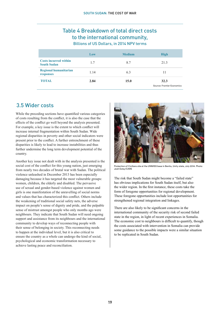### Table 4 Breakdown of total direct costs to the international community, Billions of US Dollars, in 2014 NPV terms

|                                                    | Low  | <b>Medium</b> | <b>High</b>                        |
|----------------------------------------------------|------|---------------|------------------------------------|
| <b>Costs incurred within</b><br><b>South Sudan</b> | 1.7  | 8.7           | 21.3                               |
| <b>Regional humanitarian</b><br>responses          | 1.14 | 6.3           | 11                                 |
| <b>TOTAL</b>                                       | 2.84 | 15.0          | 32.3<br>Source: Frontier Economics |

### 3.5 Wider costs

While the preceding sections have quantified various categories of costs resulting from the conflict, it is also the case that the effects of the conflict go well beyond the analysis presented. For example, a key issue is the extent to which conflict will increase internal fragmentation within South Sudan. Wide regional disparities in poverty and other social indicators were present prior to the conflict. A further entrenchment of these disparities is likely to lead to increase instabilities and thus further undermine the long term development potential of the country.

Another key issue not dealt with in the analysis presented is the social cost of the conflict for this young nation, just emerging from nearly two decades of brutal war with Sudan. The political violence unleashed in December 2013 has been especially damaging because it has targeted the most vulnerable groups: women, children, the elderly and disabled. The pervasive use of sexual and gender-based violence against women and girls is one manifestation of the unravelling of social norms and values that has characterized this conflict. Others include the weakening of traditional social safety nets, the adverse impact on people's sense of dignity and pride, and the palpable sense of mistrust amongst people who only months ago were neighbours. They indicate that South Sudan will need ongoing support and assistance from its neighbours and the international community to develop ways of reconnecting people with their sense of belonging in society. This reconnecting needs to happen at the individual level, but it is also critical to ensure the country as a whole can undergo the kind of social, psychological and economic transformation necessary to achieve lasting peace and reconciliation.



Protection of Civilians site at the UNMISS base in Bentiu, Unity state, July 2014. Photo: Josh Estey/CARE

The risk that South Sudan might become a "failed state" has obvious implications for South Sudan itself, but also the wider region. In the first instance, these costs take the form of foregone opportunities for regional development. These foregone opportunities include lost opportunities for strengthened regional integration and linkages.

There are also likely to be significant concerns in the international community of the security risk of second failed state in the region, in light of recent experiences in Somalia. The economic cost to neighbours is difficult to quantify, though the costs associated with intervention in Somalia can provide some guidance to the possible impacts were a similar situation to be replicated in South Sudan.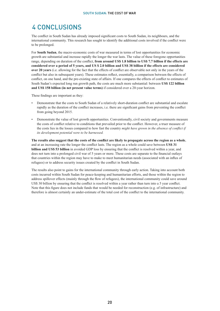# 4 Conclusions

The conflict in South Sudan has already imposed significant costs to South Sudan, its neighbours, and the international community. This research has sought to identify the additional costs involved if the conflict were to be prolonged.

For **South Sudan**, the macro-economic costs of war measured in terms of lost opportunities for economic growth are substantial and increase rapidly the longer the war lasts. The value of these foregone opportunities range, depending on duration of the conflict, **from around US\$ 1.8 billion to US\$ 7.7 billion if the effects are considered over a period of 5 years, and US \$ 2.0 billion and US\$ 38 billion if the effects are considered over 20 years** (i.e. allowing for the fact that the effects of conflict are observable not only in the years of the conflict but also in subsequent years). These estimates reflect, essentially, a comparison between the effects of conflict, on one hand, and the pre-existing state of affairs. If one compares the effects of conflict to estimates of South Sudan's expected long run growth path, the costs are much more substantial: between **US\$ 122 billion and US\$ 158 billion (in net present value terms)** if considered over a 20-year horizon.

These findings are important as they:

- Demonstrate that the costs to South Sudan of a relatively short-duration conflict are substantial and escalate rapidly as the duration of the conflict increases, i.e. there are significant gains from preventing the conflict from going beyond 2015.
- Demonstrate the value of lost growth opportunities. Conventionally, civil society and governments measure the costs of conflict relative to conditions that prevailed prior to the conflict. However, a truer measure of the costs lies in the losses compared to how fast the country *might have grown in the absence of conflict if its development potential were to be harnessed.*

**The results also suggest that the costs of the conflict are likely to propagate across the region as a whole**, and at an increasing rate the longer the conflict lasts. The region as a whole could save between **US\$ 31 billion and US\$ 53 billion** in avoided GDP loss by ensuring that the conflict is resolved within a year, and does not turn into a prolonged civil war of 5 years or more. These costs are separate to the financial outlays that countries within the region may have to make to meet humanitarian needs (associated with an influx of refugees) or to address security issues created by the conflict in South Sudan.

The results also point to gains for the international community through early action. Taking into account both costs incurred within South Sudan for peace-keeping and humanitarian efforts, and those within the region to address spillover effects (mainly through the flow of refugees), the international community could save around US\$ 30 billion by ensuring that the conflict is resolved within a year rather than turn into a 5 year conflict. Note that this figure does not include funds that would be needed for reconstruction (e.g. of infrastructure) and therefore is almost certainly an under-estimate of the total cost of the conflict to the international community.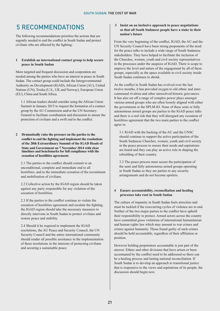# 5 Recommendations

The following recommendations prioritise the actions that are urgently needed to end the conflict in South Sudan and protect civilians who are affected by the fighting:

#### **1 Establish an international contact group to help secure peace in South Sudan**

More targeted and frequent discussion and cooperation are needed among the parties who have an interest in peace in South Sudan. The contact group could include the Intergovernmental Authority on Development (IGAD), African Union (AU), United Nations (UN), Troika (U.S., UK and Norway), European Union (EU), China and South Africa.

1.1 African leaders should consider using the African Union Summit in January 2015 to request the formation of a contact group by the AU Commission and/or the UN Secretary-General to facilitate coordination and discussion to ensure the protection of civilians and a swift end to the conflict.

**2 Dramatically raise the pressure on the parties to the conflict to end the fighting and implement the resolutions of the 28th Extraordinary Summit of the IGAD Heads of State and Government on 7 November 2014 with clear timelines and benchmarks for full compliance with the cessation of hostilities agreement:**

2.1 The parties to the conflict should commit to an unconditional, complete and immediate end to all hostilities, and to the immediate cessation of the recruitment and mobilisation of civilians.

2.2 Collective action by the IGAD region should be taken against any party responsible for any violation of the cessation of hostilities.

2.3 If the parties to the conflict continue to violate the cessation of hostilities agreement and escalate the fighting, the IGAD region should take the necessary measures to directly intervene in South Sudan to protect civilians and restore peace and stability.

2.4 Should it be required to implement the IGAD resolutions, the AU Peace and Security Council, the UN Security Council and the entire international community should render all possible assistance in the implementation of these resolutions in the interests of protecting civilians and securing a sustainable peace.

#### **3 Insist on an inclusive approach to peace negotiations so that all South Sudanese people have a stake in their nation's future**

From the very beginning of the conflict, IGAD, the AU and the UN Security Council have been strong proponents of the need for the peace talks to include a wide range of South Sudanese stakeholders. They have helped to facilitate the inclusion of the Churches, women, youth and civil society representatives in the processes under the auspices of IGAD. There is scope to improve the level and nature of the engagement by all of these groups, especially as the space available to civil society inside South Sudan continues to shrink.

As the conflict in South Sudan has evolved over the last twelve months, it has provided oxygen to old ethnic and intercommunal rivalries and other unresolved historic grievances. It has also set off a range of complex power plays amongst various armed groups who are often loosely aligned with either the government or the SPLM-IO. None of these semi or fully autonomous armed groups are parties to the IGAD peace talks and there is a real risk that they will disregard any cessation of hostilities agreement that the two main parties to the conflict agree to.

3.1 IGAD with the backing of the AU and the UNSC should continue to support the active participation of the South Sudanese Churches, women, youth and civil society in the peace process to ensure their needs and aspirations are heard and they can play an active role in shaping the rebuilding of their country.

3.2 The peace process must secure the participation of the semi and fully autonomous armed groups operating in South Sudan so they are parties to any security arrangements and do not become spoilers.

#### **4 Ensure accountability, reconciliation and healing processes take root in South Sudan**

The culture of impunity in South Sudan fuels atrocities and must be tackled if the reoccurring cycles of violence are to end. Neither of the two major parties to the conflict have upheld their responsibility to protect. Armed actors across the country have committed gross violations of international humanitarian and human rights law which may amount to war crimes and crimes against humanity. Those found guilty of such crimes should be held accountable, regardless of their affiliation or position.

However holding perpetrators accountable is just part of the answer. Ethnic and other divisions that have arisen or been accentuated by the conflict need to be addressed so there can be a healing process and lasting national reconciliation. If South Sudan is to develop an approach to transitional justice that is responsive to the views and aspirations of its people, the discussion should begin now.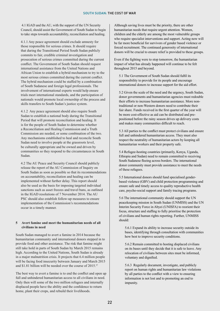4.1 IGAD and the AU, with the support of the UN Security Council, should assist the Government of South Sudan to begin to take steps towards accountability, reconciliation and healing.

4.1.1 Any peace agreement should exclude amnesty for those responsible for serious crimes. It should require that during the Transitional Period South Sudan publicly commits to fair, credible criminal investigation and prosecution of serious crimes committed during the current conflict. The Government of South Sudan should request international assistance from the United Nations and African Union to establish a hybrid mechanism to try to the most serious crimes committed during the current conflict. The hybrid mechanism could be staffed by a combination of South Sudanese and foreign legal professionals. The involvement of international experts would help ensure trials meet international standards, and the participation of nationals would promote local ownership of the process and skills transfers to South Sudan's justice system.

4.1.2 Any peace agreement should also require South Sudan to establish a national body during the Transitional Period that will promote reconciliation and healing. It is for the people of South Sudan to determine whether a Reconciliation and Healing Commission and a Truth Commission are needed, or some combination of the two. Any mechanisms established to heal and reconcile South Sudan need to involve people at the grassroots level, be culturally appropriate and be owned and driven by communities so they respond to the circumstances in South Sudan.

4.2 The AU Peace and Security Council should publicly release the report of the AU Commission of Inquiry on South Sudan as soon as possible so that its recommendations on accountability, reconciliation and healing can be implemented without further delay. This report should also be used as the basis for imposing targeted individual sanctions such as asset freezes and travel bans, as outlined in the IGAD resolutions of 7 November 2014. The AU PSC should also establish follow-up measures to ensure implementation of the Commission's recommendations occur in a timely manner.

#### **5 Avert famine and meet the humanitarian needs of all civilians in need**

South Sudan managed to avert a famine in 2014 because the humanitarian community and international donors stepped in to provide food and other assistance. The risk that famine might still take hold in parts of South Sudan by March 2015 remains high. According to the United Nations, South Sudan is already in a major malnutrition crisis. It projects that 6.4 million people will be facing food insecurity between January and March 2015 and \$1.81 billion will be needed over the course of 2015.57

The best way to avert a famine is to end the conflict and open up full and unhindered humanitarian access to all civilians in need. Only then will some of the two million refugees and internally displaced people have the ability and the confidence to return home, plant their crops, and rebuild their livelihoods.

Although saving lives must be the priority, there are other humanitarian needs that require urgent attention. Women, children and the elderly are among the most vulnerable groups who require specialist interventions and support. Acting now will be far more beneficial for survivors of gender based violence or forced recruitment. The continued generosity of international donors will be crucial to ensure relief is provided to these groups.

Even if the fighting were to stop tomorrow, the humanitarian impact of what has already happened will continue to be felt throughout 2015 and beyond.

5.1 The Government of South Sudan should fulfil its responsibility to provide for its people and encourage international donors to increase support for the aid effort.

5.2 Given the scale of the need and the urgency, South Sudan, donor governments and humanitarian agencies must redouble their efforts to increase humanitarian assistance. More nontraditional or non-Western donors need to contribute their fair share. Funds received in the first quarter of the year will be more cost-effective as aid can be distributed and prepositioned before the rainy season drives up delivery costs and makes many communities difficult to reach.

5.3 All parties to the conflict must protect civilians and ensure full and unhindered humanitarian access. They must also respect the neutrality of humanitarian actors by keeping all humanitarian workers and their property safe.

5.4 Refugee-hosting countries (primarily, Kenya, Uganda, Ethiopia and Sudan) need to remain committed to receiving South Sudanese fleeing across borders. The international donor community must provide assistance to meet the needs of these refugees.

5.5 International donors should fund specialised genderbased violence (GBV) and child protection programming and ensure safe and timely access to quality reproductive health care, psycho-social support and family tracing programs.

5.6 The international community should support the UN peacekeeping mission in South Sudan (UNMISS) and the UN Interim Security Force in Abyei (UNISFA) to reorient their focus, structure and staffing to fully prioritise the protection of civilians and human rights reporting. Further, UNMISS should:

5.6.1 Expand its ability to increase security outside its bases, identifying through consultation with communities how best to improve security conditions.

5.6.2 Remain committed to hosting displaced civilians on its bases until they decide that it is safe to leave. Any relocation of civilians between sites must be informed, voluntary and dignified.

5.6.3 Regularly document, investigate, and publicly report on human rights and humanitarian law violations by all parties to the conflict with a view to ensuring information is not lost and to promoting an end to impunity.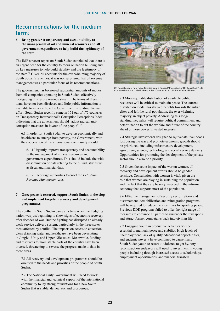### Recommendations for the mediumterm:

**6 Bring greater transparency and accountability to the management of oil and mineral resources and all government expenditure to help build the legitimacy of the state**

The IMF's recent report on South Sudan concluded that there is an urgent need for the country to focus on nation building and on key measures to help build stability and the legitimacy of the state.58 Given oil accounts for the overwhelming majority of South Sudan's revenues, it was not surprising that oil revenue management was a particular focus of its recommendations.

The government has borrowed substantial amounts of money from oil companies operating in South Sudan, effectively mortgaging this future revenue stream. The terms of these loans have not been disclosed and little public information is available to indicate how the Government is funding the war effort. South Sudan recently came in 171 out of 175 countries on Transparency International's Corruption Perceptions Index, indicating that the government should "adopt radical anticorruption measures in favour of the people".59

6.1 In order for South Sudan to develop economically and its citizens to emerge from poverty, the Government, with the cooperation of the international community should:

6.1.1 Urgently improve transparency and accountability in the management of mineral resources and government expenditures. This should include the wide dissemination of data relating to the oil industry as well as fiscal and financial data.

6.1.2 Encourage authorities to enact the *Petroleum Revenue Management Act.*

#### **7 Once peace is restored, support South Sudan to develop and implement targeted recovery and development programmes**

The conflict in South Sudan came at a time when the fledgling nation was just beginning to show signs of economic recovery after decades of war. But the fighting has disrupted an already weak service delivery system, particularly in the three states most affected by conflict. The impacts on access to education, clean drinking water and healthcare have been devastating in Jonglei, Unity and Upper Nile states. Meanwhile, funding and resources to more stable parts of the country have been diverted, threatening to reverse the progress made to date in these areas.

7.1 All recovery and development programmes should be oriented to the needs and priorities of the people of South Sudan.

7.2 The National Unity Government will need to work with the financial and technical support of the international community to lay strong foundations for a new South Sudan that is stable, democratic and prosperous.



UN Peacekeepers help move families from a flooded "Protection of Civilians (PoC)" site to a new site at the UNMISS base in Bor. October 2014. UN Photo/Isaac Gideon

7.3 More equitable distribution of available public resources will be critical to maintain peace. The current distribution model has skewed benefits towards the urban elites and left the rural population, the overwhelming majority, in abject poverty. Addressing this longstanding inequality will require political commitment and determination to put the welfare and future of the country ahead of these powerful vested interests.

7.4 Strategic investments designed to rejuvenate livelihoods lost during the war and promote economic growth should be prioritized, including infrastructure development, agriculture, science, technology and social service delivery. Opportunities for promoting the development of the private sector should also be a priority.

7.5 Given the acute impact of the war on women, all recovery and development efforts should be gender sensitive. Consultation with women is vital, given the role that women are playing in sustaining the population, and the fact that they are heavily involved in the informal economy that supports most of the population.

7.6 Effective management of security sector reform and disarmament, demobilization and reintegration programs will be required to reduce the incentives for spoiling peace. Previous DDR programs failed to offer the right range of measures to convince all parties to surrender their weapons and attract former combatants back into civilian life.

7.7 Engaging youth in productive activities will be essential to maintain peace and stability. High levels of unemployment, lack of quality educational opportunities, and endemic poverty have combined to cause many South Sudan youth to resort to violence to get by. Any reconstruction endeavors will need to investment in young people including through increased access to scholarships, employment opportunities, and financial transfers.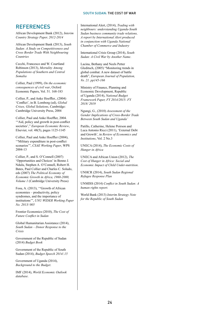### **REFERENCES**

African Development Bank (2012), *Interim Country Strategy Paper, 2012-2014*

African Development Bank (2013), *South Sudan: A Study on Competitiveness and Cross Border Trade With Neighbouring Countries*

Cecchi, Francesco and W. Courtland Robinson (2013), *Mortality Among Populations of Southern and Central Somalia* 

Collier, Paul (1999), *On the economic consequences of civil war*, Oxford Economic Papers, Vol. 51. 168-183

Collier, P., and Anke Hoeffler., (2004) 'Conflict', in B. Lomborg (ed), *Global Crises, Global Solutions*, Cambridge: Cambridge University Press, 2004

Collier, Paul and Anke Hoeffler, 2004. '"Aid, policy and growth in post-conflict societies'," *European Economic Review*, Elsevier, vol. 48(5), pages 1125-1145

Collier, Paul and Anke Hoeffler (2004), '"Military expenditure in post-conflict scenarios'", *CSAE Working Paper*, WPS 2004-13

Collier, P., and S. O'Connell (2007) 'Opportunities and Choices' in Benno J. Ndulu, Stephen A. O'Connell, Robert H. Bates, Paul Collier and Charles C. Soludo, eds (2007) *The Political Economy of Economic Growth in Africa, 1960-2000, Volume 1* (Cambridge University Press)

Fosu, A. (2013), '"Growth of African economies – productivity, policy syndromes, and the importance of institutions'", *UNU WIDER Working Paper No. 2013/ 005*

Frontier Economics (2010), *The Cost of Future Conflict in Sudan*

Global Humanitarian Assistance (2014), *South Sudan – Donor Response to the Crisis*

Government of the Republic of Sudan (2014) *Budget Book*

Government of the Republic of South Sudan (2014), *Budget Speech 2014/.15*

Government of Uganda (2014), *Background to the Budget*.

IMF (2014), *World Economic Outlook database*.

International Alert, (2014), *Trading with neighbours: understanding Uganda-South Sudan business community trade relations, A report by International Alert produced in conjunction with Uganda National Chamber of Commerce and Industry*

International Crisis Group (2014), *South Sudan: A Civil War by Another Name*.

Lacina, Bethany and Neels Petter Gleditsch, (2005) "Monitoring trends in global combat: A new dataset of battle death", *European Journal of Population, Vo. 21. pp145-166*

Ministry of Finance, Planning and Economic Development, Republic of Uganda (2014), *National Budget Framework Paper, FY 2014/2015- FY 2018/ 2019*

Ngungi, G., (2010) *Assessment of the Gender Implications of Cross-Border Trade Between South Sudan and Uganda'*

Patillo, Catherine, Helene Poirson and Luca Antonio Ricci (2011), 'External Debt and Growth', in *Review of Economics and Institutions*, Vol. 2 No.3

UNECA (2014), *The Economic Costs of Hunger in Africa*

UNECA and African Union (2012), *The Cost of Hunger in Africa: Social and Economic Impact of Child Under-nutrition*.

UNHCR (2014), *South Sudan Regional Refugee Response Plan*

UNMISS (2014) *Conflict in South Sudan: A human rights report.*

World Bank (2013) *Interim Strategy Note for the Republic of South Sudan*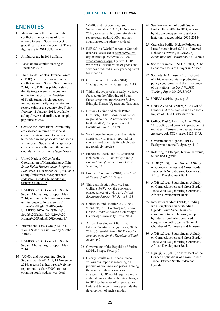### **ENDNOTES**

- 1 Measured over the duration of the conflict as the lost value of GDP relative to South Sudan's expected growth path absent the conflict. These figures are in 2014 dollar terms.
- 2 All figures are in 2014 dollars.
- 3 Based on the conflict starting in December 2013.
- 4 The Uganda Peoples Defence Forces (UPDF) is directly involved in the conflict in South Sudan. Since January 2014, the UPDF has publicly stated that its troops were in the country on the invitation of the President of South Sudan which requested immediate militarily intervention to restore calm in the country. See *Sudan Tribune,* 11 January 2014, available at http://www.sudantribune.com/spip. php?article49929
- 5 Costs to the international community are assessed in terms of financial commitments required to manage humanitarian and peace-keeping needs within South Sudan, and the spillover effects of the conflict into the region (mainly in the form of refugee flows).
- 6 United Nations Office for the Coordination of Humanitarian Affairs, *South Sudan Humanitarian Response Plan 2015,* 1 December 2014, available at http://reliefweb.int/report/southsudan/south-sudan-humanitarianresponse-plan-2015
- 7 UNMISS (2014), Conflict in South Sudan: A human rights report, May 2014, accessed at http://www.unmiss. unmissions.org/Portals/unmiss/ Human%20Rights%20Reports/ UNMISS%20Conflict%20in%20 South%20Sudan%20-%20A%20 Human%20Rights%20Report.pdf
- 8 International Crisis Group (2014), 'South Sudan: A Civil War by Another Name'.
- 9 UNMISS (2014), Conflict in South Sudan: A human rights report, May 2014.
- 10 '50,000 and not counting: South Sudan's war dead', AFP, 15 November 2014, accessed at http://reliefweb.int/ report/south-sudan/50000-and-notcounting-south-sudans-war-dead
- 11 '50,000 and not counting: South Sudan's war dead', AFP, 15 November 2014, accessed at http://reliefweb.int/ report/south-sudan/50000-and-notcounting-south-sudans-war-dead
- 12 IMF (2014), World Economic Outlook database, accessed at http://www.imf. org/external/pubs/ft/weo/2014/02/ weodata/index.aspx. By "real GDP" we mean GDP (the value of goods and services produced in any year) adjusted for inflation.
- 13 Government of Uganda (2014), 'Background to the Budget', pp11-13.
- 14 Within the scope of this study, we have focused on the following of South Sudan's regional neighbours: Sudan, Ethiopia, Kenya, Uganda and Tanzania.
- 15 Bethany Lacina and Neels Petter Gleditsch, (2005) 'Monitoring trends in global combat: A new dataset of battle deaths', European Journal of Population, Vo. 21, p 159.
- 16 We choose the lower bound as this is consistent with results reported for shorter-lived conflicts for which data are relatively precise.
- 17 Francesco Cecchi and W. Courtland Robinson (2013), *Mortality Among Populations of Southern and Central Somalia*, p8.
- 18 Frontier Economics (2010), *The Cost of Future Conflict in Sudan*
- 19 This classification follows, Paul Collier (1999), "On the economic consequences of civil war", *Oxford Economic Papers, Vol. 51*. 168-183
- 20 Collier, P., and Hoeffler, A., (2004) 'Conflict', in B. Lomborg (ed), *Global Crises, Global Solutions*, Cambridge: Cambridge University Press, 2004
- 21 African Development Bank (2012), Interim Country Strategy Paper, 2012- 2014 p 3; World Bank (2013) *Interim Strategy Note for the Republic of South Sudan*, p 6
- 22 Government of the Republic of Sudan (2014), *Budget Book*, p 7
- 23 Clearly, results will be sensitive to various assumptions regarding oil production volumes and prices. Tracing the results of these variations to changes in GDP would require a more elaborate model that calibrates changes in GDP to the value of oil production. Data and time constraints preclude the development of such a model.
- 24 See Government of South Sudan, Budget Table 2005 to 2004, accessed by http://www.grss-mof.org/docs/ historical-budget-tables-2005-2014/
- 25 Catherine Patillo, Helene Poirson and Luca Antonio Ricci (2011), 'External Debt and Growth', in *Review of Economics and Institutions*, Vol. 2 No.3
- 26 See for example, UNECA (2014), 'The Economic Costs of Hunger in Africa'
- 27 See notably A. Fosu (2013), 'Growth of African economies – productivity, policy syndromes, and the importance of institutions', *in UNU WIDER Working Paper No. 2013/ 005*
- 28 UNECA (2014), op.cit, p. 5
- 29 UNECA and AU (2012), 'The Cost of Hunger in Africa: Social and Economic Impact of Child Under-nutrition'.
- 30 Collier, Paul & Hoeffler, Anke, 2004. 'Aid, policy and growth in post-conflict societies'*, European Economic Review, Elsevier*, vol. 48(5), pages 1125-1145,
- 31 Government of Uganda (2014), Background to the Budget, pp11-13.
- 32 Referring to Ethiopia, Kenya, Tanzania, Sudan and Uganda.
- 33 AfDB (2013), 'South Sudan: A Study on Competitiveness and Cross Border Trade With Neighbouring Countries', African Development Bank
- 34 AfDB (2013), 'South Sudan: A Study on Competitiveness and Cross Border Trade With Neighbouring Countries', African Development Bank.
- 35 International Alert, (2014), 'Trading with neighbours: understanding Uganda-South Sudan business community trade relations', A report by International Alert produced in conjunction with Uganda National Chamber of Commerce and Industry
- 36 AfDB (2013), 'South Sudan: A Study on Competitiveness and Cross Border Trade With Neighbouring Countries', African Development Bank
- 37 Ngungi, G., (2010) 'Assessment of the Gender Implications of Cross-Border Trade Between South Sudan and Uganda'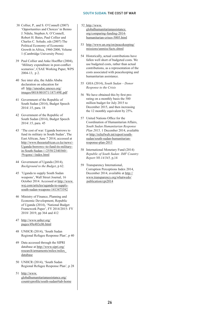- 38 Collier, P., and S. O'Connell (2007) 'Opportunities and Choices' in Benno J. Ndulu, Stephen A. O'Connell, Robert H. Bates, Paul Collier and Charles C. Soludo, eds (2007) The Political Economy of Economic Growth in Africa, 1960-2000, Volume 1 (Cambridge University Press)
- 39 Paul Collier and Anke Hoeffler (2004), 'Military expenditure in post-conflict scenarios', CSAE Working Paper, WPS 2004-13, p 2.
- 40 See inter alia, the Addis Ababa declaration on education for all http://unesdoc.unesco.org/ images/0018/001871/187149E.pdf
- 41 Government of the Republic of South Sudan (2014), Budget Speech 2014/.15, para. 18
- 42 Government of the Republic of South Sudan (2014), Budget Speech 2014/.15, para. 45
- 43 'The cost of war: Uganda borrows to fund its military in South Sudan', The East African, June 7 2014, accessed at http://www.theeastafrican.co.ke/news/- Uganda-borrows--to-fund-its-militaryin-South-Sudan-/-/2558/2340360/- /9vqonx/-/index.html
- 44 Government of Uganda (2014), *Background to the Budget*, p 62.
- 45 'Uganda to supply South Sudan weapons', Wall Street Journal, 16 October 2014. Accessed at http://www. wsj.com/articles/uganda-to-supplysouth-sudan-weapons-1413475592
- 46 Ministry of Finance, Planning and Economic Development, Republic of Uganda (2014), 'National Budget Framework Paper', FY 2014/2015- FY 2018/ 2019, pp 364 and 412
- 47 http://www.unhcr.org/ pages/49e483c06.html
- 48 UNHCR (2014), 'South Sudan Regional Refugee Response Plan', p 40
- 49 Data accessed through the SIPRI database at http://www.sipri.org/ research/armaments/milex/milex\_ database
- 50 UNHCR (2014), 'South Sudan Regional Refugee Response Plan', p 28
- 51 http://www. globalhumanitarianassistance.org/ countryprofile/south-sudan#tab-home
- 52 http://www. globalhumanitarianassistance. org/comparing-funding-2014 humanitarian-crises-5005.html
- 53 http://www.un.org/en/peacekeeping/ missions/unmiss/facts.shtml
- 54 Historically, actual contributions have fallen well short of budgeted costs. We use budgeted costs, rather than actual contributions, as a representation of the costs associated with peacekeeping and humanitarian assistance.
- 55 GHA (2014), *South Sudan Donor Response to the Crisis*
- 56 We have obtained this by first prorating on a monthly basis the 580 million budget for July 2015 to December 2015, and then increasing the 12 monthly equivalent by 25%.
- 57 United Nations Office for the Coordination of Humanitarian Affairs, *South Sudan Humanitarian Response Plan 2015,* 1 December 2014, available at http://reliefweb.int/report/southsudan/south-sudan-humanitarianresponse-plan-2015
- 58 International Monetary Fund (2014) *Republic of South Sudan: IMF Country Report N0.14/345,* p,14
- 59 Transparency International, Corruption Perceptions Index 2014, December 2014, available at http:// www.transparency.org/whatwedo/ publication/cpi2014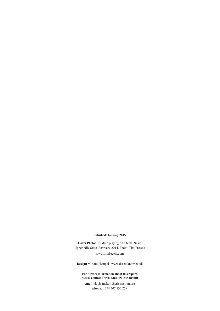#### **Pubished: January 2015**

**Cover Photo:** Children playing on a tank, Nasir, Upper Nile State, February 2014. Photo: Tim Freccia www.timfreccia.com

**Design:** Miriam Hempel | www.daretoknow.co.uk

#### **For further information about this report, please contact Davis Makori in Nairobi:**

**email:** davis.makori@crisisaction.org **phone:** +254 707 132 259